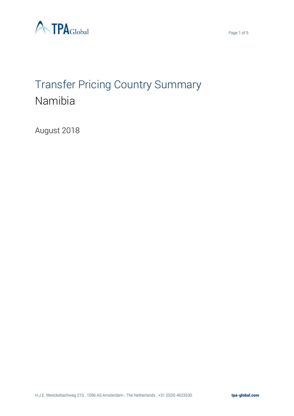



# Transfer Pricing Country Summary Namibia

August 2018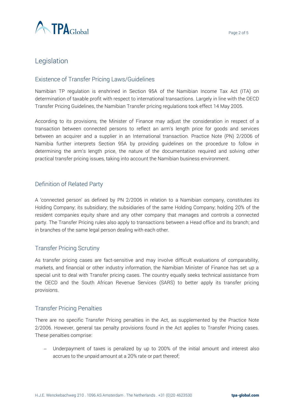

### Legislation

#### Existence of Transfer Pricing Laws/Guidelines

Namibian TP regulation is enshrined in Section 95A of the Namibian Income Tax Act (ITA) on determination of taxable profit with respect to international transactions. Largely in line with the OECD Transfer Pricing Guidelines, the Namibian Transfer pricing regulations took effect 14 May 2005.

According to its provisions, the Minister of Finance may adjust the consideration in respect of a transaction between connected persons to reflect an arm's length price for goods and services between an acquirer and a supplier in an International transaction. Practice Note (PN) 2/2006 of Namibia further interprets Section 95A by providing guidelines on the procedure to follow in determining the arm's length price, the nature of the documentation required and solving other practical transfer pricing issues, taking into account the Namibian business environment.

#### Definition of Related Party

A 'connected person' as defined by PN 2/2006 in relation to a Namibian company, constitutes its Holding Company; its subsidiary; the subsidiaries of the same Holding Company; holding 20% of the resident companies equity share and any other company that manages and controls a connected party. The Transfer Pricing rules also apply to transactions between a Head office and its branch; and in branches of the same legal person dealing with each other.

#### Transfer Pricing Scrutiny

As transfer pricing cases are fact-sensitive and may involve difficult evaluations of comparability, markets, and financial or other industry information, the Namibian Minister of Finance has set up a special unit to deal with Transfer pricing cases. The country equally seeks technical assistance from the OECD and the South African Revenue Services (SARS) to better apply its transfer pricing provisions.

#### Transfer Pricing Penalties

There are no specific Transfer Pricing penalties in the Act, as supplemented by the Practice Note 2/2006. However, general tax penalty provisions found in the Act applies to Transfer Pricing cases. These penalties comprise:

− Underpayment of taxes is penalized by up to 200% of the initial amount and interest also accrues to the unpaid amount at a 20% rate or part thereof;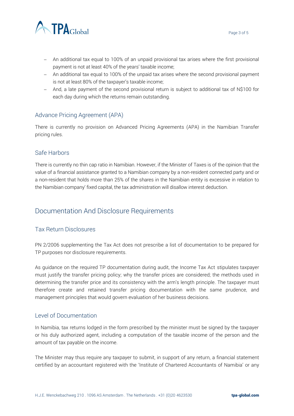



- − An additional tax equal to 100% of an unpaid provisional tax arises where the first provisional payment is not at least 40% of the years' taxable income;
- − An additional tax equal to 100% of the unpaid tax arises where the second provisional payment is not at least 80% of the taxpayer's taxable income;
- − And, a late payment of the second provisional return is subject to additional tax of N\$100 for each day during which the returns remain outstanding.

#### Advance Pricing Agreement (APA)

There is currently no provision on Advanced Pricing Agreements (APA) in the Namibian Transfer pricing rules.

#### Safe Harbors

There is currently no thin cap ratio in Namibian. However, if the Minister of Taxes is of the opinion that the value of a financial assistance granted to a Namibian company by a non-resident connected party and or a non-resident that holds more than 25% of the shares in the Namibian entity is excessive in relation to the Namibian company' fixed capital, the tax administration will disallow interest deduction.

## Documentation And Disclosure Requirements

#### Tax Return Disclosures

PN 2/2006 supplementing the Tax Act does not prescribe a list of documentation to be prepared for TP purposes nor disclosure requirements.

As guidance on the required TP documentation during audit, the Income Tax Act stipulates taxpayer must justify the transfer pricing policy; why the transfer prices are considered; the methods used in determining the transfer price and its consistency with the arm's length principle. The taxpayer must therefore create and retained transfer pricing documentation with the same prudence, and management principles that would govern evaluation of her business decisions.

#### Level of Documentation

In Namibia, tax returns lodged in the form prescribed by the minister must be signed by the taxpayer or his duly authorized agent, including a computation of the taxable income of the person and the amount of tax payable on the income.

The Minister may thus require any taxpayer to submit, in support of any return, a financial statement certified by an accountant registered with the 'Institute of Chartered Accountants of Namibia' or any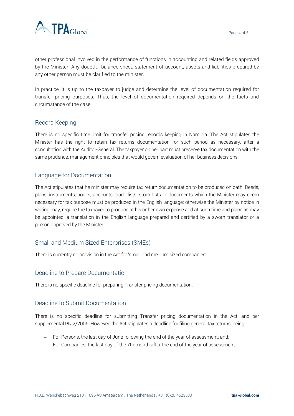

other professional involved in the performance of functions in accounting and related fields approved by the Minister. Any doubtful balance sheet, statement of account, assets and liabilities prepared by any other person must be clarified to the minister.

In practice, it is up to the taxpayer to judge and determine the level of documentation required for transfer pricing purposes. Thus, the level of documentation required depends on the facts and circumstance of the case.

#### Record Keeping

There is no specific time limit for transfer pricing records keeping in Namibia. The Act stipulates the Minister has the right to retain tax returns documentation for such period as necessary, after a consultation with the Auditor-General. The taxpayer on her part must preserve tax documentation with the same prudence, management principles that would govern evaluation of her business decisions.

#### Language for Documentation

The Act stipulates that he minister may require tax return documentation to be produced on oath. Deeds, plans, instruments, books, accounts, trade lists, stock lists or documents which the Minister may deem necessary for tax purpose must be produced in the English language; otherwise the Minister by notice in writing may, require the taxpayer to produce at his or her own expense and at such time and place as may be appointed, a translation in the English language prepared and certified by a sworn translator or a person approved by the Minister.

#### Small and Medium Sized Enterprises (SMEs)

There is currently no provision in the Act for 'small and medium sized companies'.

#### Deadline to Prepare Documentation

There is no specific deadline for preparing Transfer pricing documentation.

#### Deadline to Submit Documentation

There is no specific deadline for submitting Transfer pricing documentation in the Act, and per supplemental PN 2/2006. However, the Act stipulates a deadline for filing general tax returns, being:

- − For Persons, the last day of June following the end of the year of assessment; and;
- − For Companies, the last day of the 7th month after the end of the year of assessment.